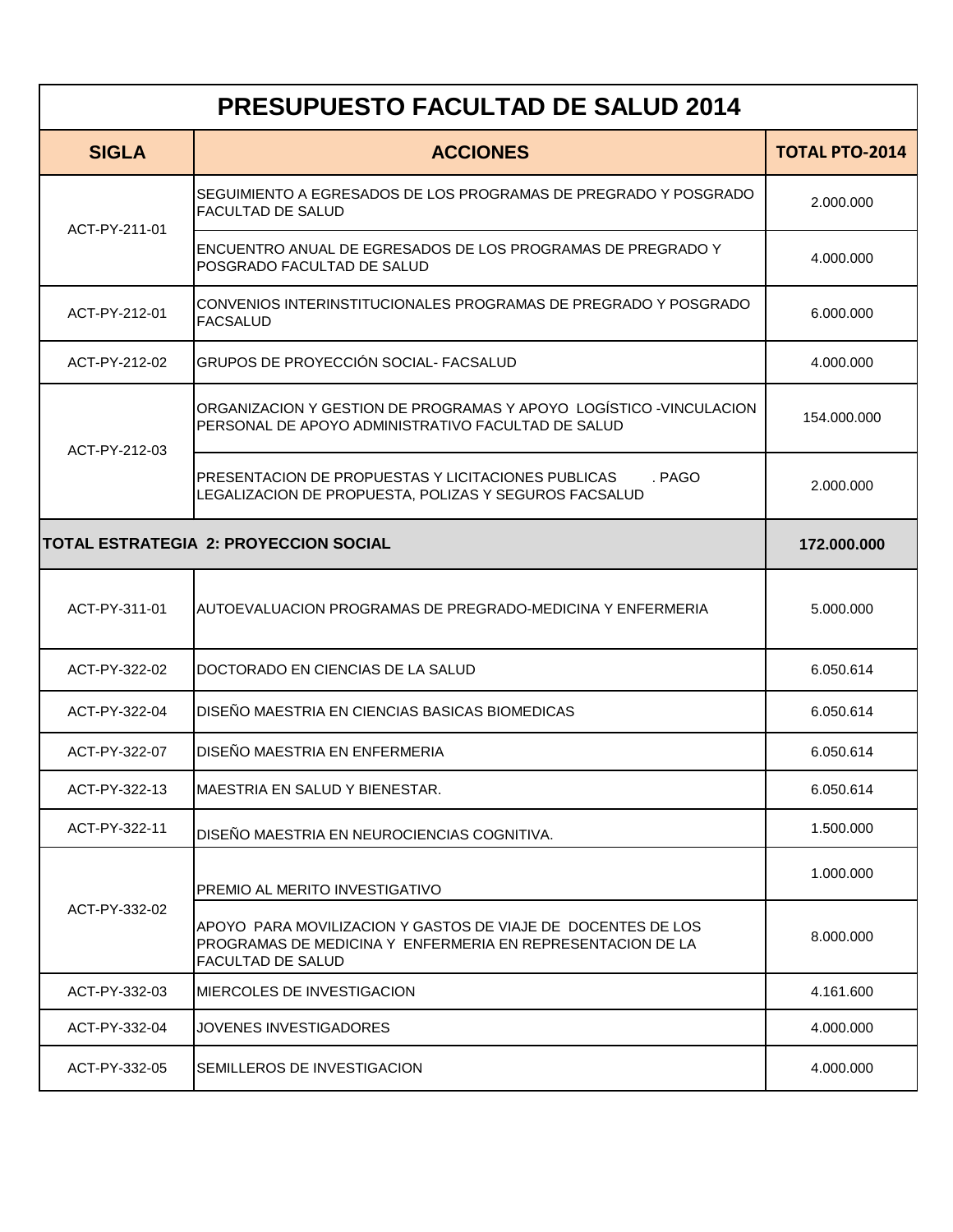| <b>PRESUPUESTO FACULTAD DE SALUD 2014</b>    |                                                                                                                                                        |                       |  |  |
|----------------------------------------------|--------------------------------------------------------------------------------------------------------------------------------------------------------|-----------------------|--|--|
| <b>SIGLA</b>                                 | <b>ACCIONES</b>                                                                                                                                        | <b>TOTAL PTO-2014</b> |  |  |
| ACT-PY-211-01                                | SEGUIMIENTO A EGRESADOS DE LOS PROGRAMAS DE PREGRADO Y POSGRADO<br>FACULTAD DE SALUD                                                                   | 2.000.000             |  |  |
|                                              | ENCUENTRO ANUAL DE EGRESADOS DE LOS PROGRAMAS DE PREGRADO Y<br>POSGRADO FACULTAD DE SALUD                                                              | 4.000.000             |  |  |
| ACT-PY-212-01                                | CONVENIOS INTERINSTITUCIONALES PROGRAMAS DE PREGRADO Y POSGRADO<br><b>FACSALUD</b>                                                                     | 6.000.000             |  |  |
| ACT-PY-212-02                                | GRUPOS DE PROYECCIÓN SOCIAL- FACSALUD                                                                                                                  | 4.000.000             |  |  |
| ACT-PY-212-03                                | ORGANIZACION Y GESTION DE PROGRAMAS Y APOYO LOGÍSTICO -VINCULACION<br>PERSONAL DE APOYO ADMINISTRATIVO FACULTAD DE SALUD                               | 154.000.000           |  |  |
|                                              | PRESENTACION DE PROPUESTAS Y LICITACIONES PUBLICAS<br>. PAGO<br>LEGALIZACION DE PROPUESTA, POLIZAS Y SEGUROS FACSALUD                                  | 2.000.000             |  |  |
| <b>TOTAL ESTRATEGIA 2: PROYECCION SOCIAL</b> |                                                                                                                                                        | 172.000.000           |  |  |
| ACT-PY-311-01                                | AUTOEVALUACION PROGRAMAS DE PREGRADO-MEDICINA Y ENFERMERIA                                                                                             | 5.000.000             |  |  |
| ACT-PY-322-02                                | DOCTORADO EN CIENCIAS DE LA SALUD                                                                                                                      | 6.050.614             |  |  |
| ACT-PY-322-04                                | DISEÑO MAESTRIA EN CIENCIAS BASICAS BIOMEDICAS                                                                                                         | 6.050.614             |  |  |
| ACT-PY-322-07                                | DISEÑO MAESTRIA EN ENFERMERIA                                                                                                                          | 6.050.614             |  |  |
| ACT-PY-322-13                                | IMAESTRIA EN SALUD Y BIENESTAR.                                                                                                                        | 6.050.614             |  |  |
| ACT-PY-322-11                                | DISEÑO MAESTRIA EN NEUROCIENCIAS COGNITIVA.                                                                                                            | 1.500.000             |  |  |
| ACT-PY-332-02                                | PREMIO AL MERITO INVESTIGATIVO                                                                                                                         | 1.000.000             |  |  |
|                                              | APOYO PARA MOVILIZACION Y GASTOS DE VIAJE DE DOCENTES DE LOS<br>PROGRAMAS DE MEDICINA Y ENFERMERIA EN REPRESENTACION DE LA<br><b>FACULTAD DE SALUD</b> | 8.000.000             |  |  |
| ACT-PY-332-03                                | <b>IMIERCOLES DE INVESTIGACION</b>                                                                                                                     | 4.161.600             |  |  |
| ACT-PY-332-04                                | JOVENES INVESTIGADORES                                                                                                                                 | 4.000.000             |  |  |
| ACT-PY-332-05                                | SEMILLEROS DE INVESTIGACION                                                                                                                            | 4.000.000             |  |  |